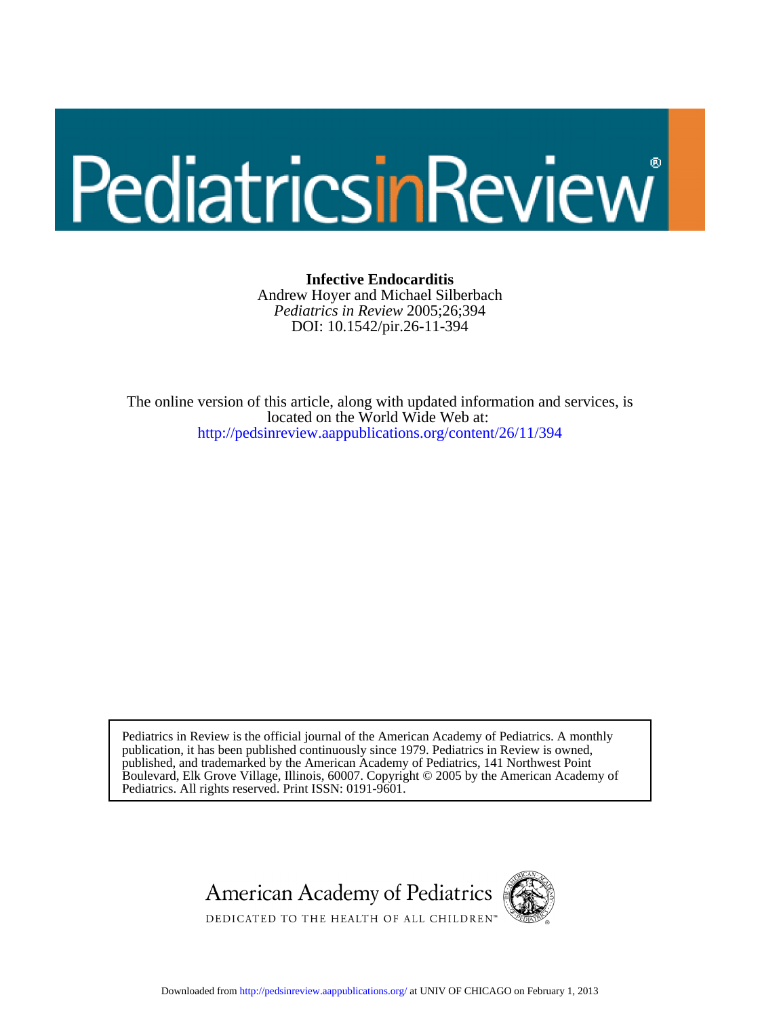# PediatricsinReview

DOI: 10.1542/pir.26-11-394 *Pediatrics in Review* 2005;26;394 Andrew Hoyer and Michael Silberbach **Infective Endocarditis**

<http://pedsinreview.aappublications.org/content/26/11/394> located on the World Wide Web at: The online version of this article, along with updated information and services, is

Pediatrics. All rights reserved. Print ISSN: 0191-9601. Boulevard, Elk Grove Village, Illinois, 60007. Copyright © 2005 by the American Academy of published, and trademarked by the American Academy of Pediatrics, 141 Northwest Point publication, it has been published continuously since 1979. Pediatrics in Review is owned, Pediatrics in Review is the official journal of the American Academy of Pediatrics. A monthly

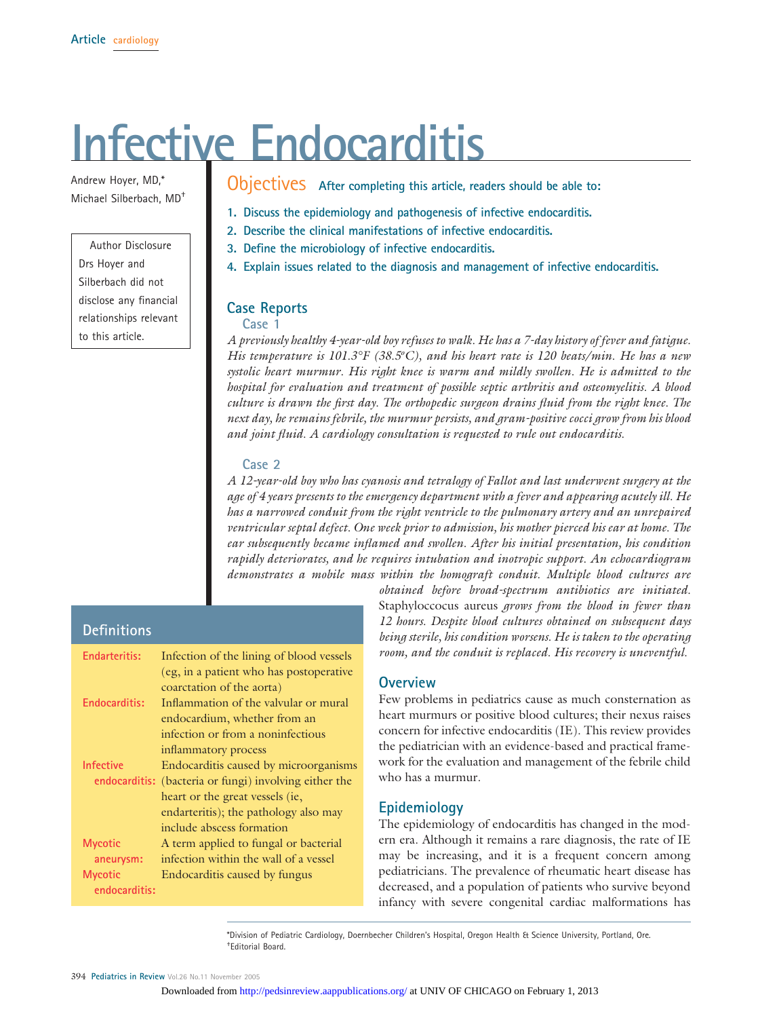# **Infective Endocarditis**

Andrew Hoyer, MD,\* Michael Silberbach, MD†

#### Author Disclosure Drs Hoyer and

Silberbach did not disclose any financial relationships relevant to this article.

## Objectives **After completing this article, readers should be able to:**

- **1. Discuss the epidemiology and pathogenesis of infective endocarditis.**
- **2. Describe the clinical manifestations of infective endocarditis.**
- **3. Define the microbiology of infective endocarditis.**
- **4. Explain issues related to the diagnosis and management of infective endocarditis.**

#### **Case Reports**

**Case 1**

*A previously healthy 4-year-old boy refuses to walk. He has a 7-day history of fever and fatigue.* His temperature is 101.3°F (38.5°C), and his heart rate is 120 beats/min. He has a new *systolic heart murmur. His right knee is warm and mildly swollen. He is admitted to the hospital for evaluation and treatment of possible septic arthritis and osteomyelitis. A blood culture is drawn the first day. The orthopedic surgeon drains fluid from the right knee. The next day, he remains febrile, the murmur persists, and gram-positive cocci grow from his blood and joint fluid. A cardiology consultation is requested to rule out endocarditis.*

#### **Case 2**

*A 12-year-old boy who has cyanosis and tetralogy of Fallot and last underwent surgery at the age of 4 years presents to the emergency department with a fever and appearing acutely ill. He has a narrowed conduit from the right ventricle to the pulmonary artery and an unrepaired ventricular septal defect. One week prior to admission, his mother pierced his ear at home. The ear subsequently became inflamed and swollen. After his initial presentation, his condition rapidly deteriorates, and he requires intubation and inotropic support. An echocardiogram demonstrates a mobile mass within the homograft conduit. Multiple blood cultures are*

### **Definitions**

| <b>Endarteritis:</b>        | Infection of the lining of blood vessels               |
|-----------------------------|--------------------------------------------------------|
|                             | (eg, in a patient who has postoperative                |
|                             | coarctation of the aorta)                              |
| Endocarditis:               | Inflammation of the valvular or mural                  |
|                             | endocardium, whether from an                           |
|                             | infection or from a noninfectious                      |
|                             | inflammatory process                                   |
| <b>Infective</b>            | Endocarditis caused by microorganisms                  |
|                             | endocarditis: (bacteria or fungi) involving either the |
|                             | heart or the great vessels (ie,                        |
|                             | endarteritis); the pathology also may                  |
|                             | include abscess formation                              |
| <b>Mycotic</b><br>aneurysm: | A term applied to fungal or bacterial                  |
|                             | infection within the wall of a vessel                  |
| <b>Mycotic</b>              | Endocarditis caused by fungus                          |
| endocarditis:               |                                                        |

*obtained before broad-spectrum antibiotics are initiated.* Staphyloccocus aureus *grows from the blood in fewer than 12 hours. Despite blood cultures obtained on subsequent days being sterile, his condition worsens. He is taken to the operating room, and the conduit is replaced. His recovery is uneventful.*

#### **Overview**

Few problems in pediatrics cause as much consternation as heart murmurs or positive blood cultures; their nexus raises concern for infective endocarditis (IE). This review provides the pediatrician with an evidence-based and practical framework for the evaluation and management of the febrile child who has a murmur.

#### **Epidemiology**

The epidemiology of endocarditis has changed in the modern era. Although it remains a rare diagnosis, the rate of IE may be increasing, and it is a frequent concern among pediatricians. The prevalence of rheumatic heart disease has decreased, and a population of patients who survive beyond infancy with severe congenital cardiac malformations has

\*Division of Pediatric Cardiology, Doernbecher Children's Hospital, Oregon Health & Science University, Portland, Ore. † Editorial Board.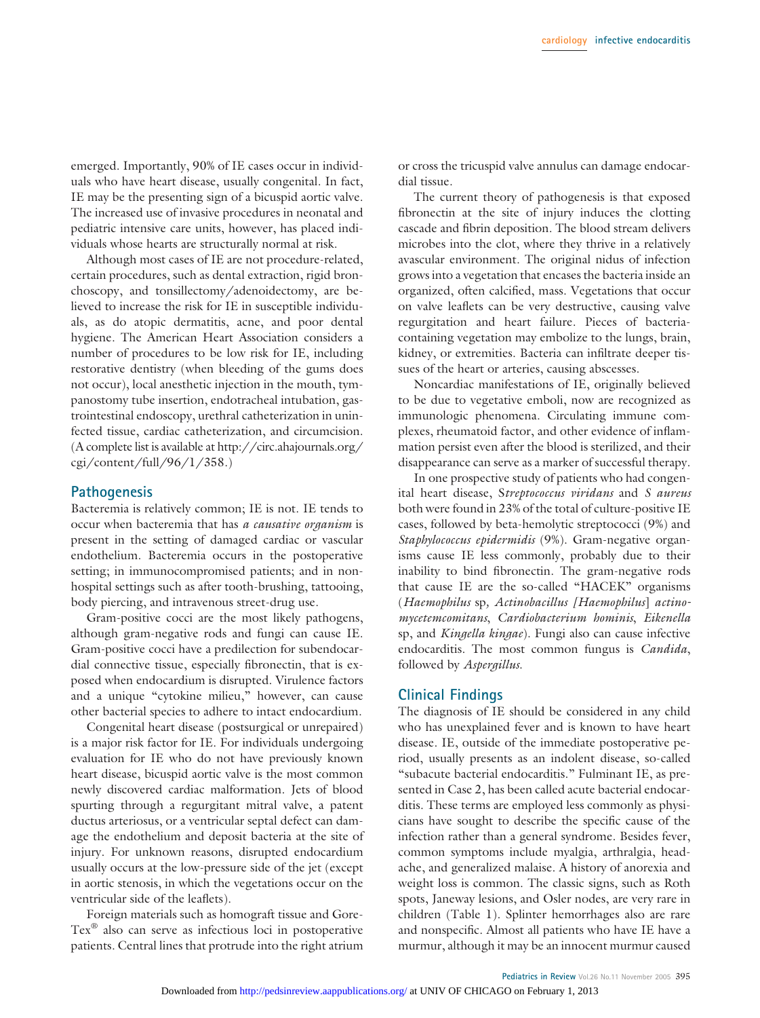emerged. Importantly, 90% of IE cases occur in individuals who have heart disease, usually congenital. In fact, IE may be the presenting sign of a bicuspid aortic valve. The increased use of invasive procedures in neonatal and pediatric intensive care units, however, has placed individuals whose hearts are structurally normal at risk.

Although most cases of IE are not procedure-related, certain procedures, such as dental extraction, rigid bronchoscopy, and tonsillectomy/adenoidectomy, are believed to increase the risk for IE in susceptible individuals, as do atopic dermatitis, acne, and poor dental hygiene. The American Heart Association considers a number of procedures to be low risk for IE, including restorative dentistry (when bleeding of the gums does not occur), local anesthetic injection in the mouth, tympanostomy tube insertion, endotracheal intubation, gastrointestinal endoscopy, urethral catheterization in uninfected tissue, cardiac catheterization, and circumcision. (A complete list is available at http://circ.ahajournals.org/ cgi/content/full/96/1/358.)

#### **Pathogenesis**

Bacteremia is relatively common; IE is not. IE tends to occur when bacteremia that has *a causative organism* is present in the setting of damaged cardiac or vascular endothelium. Bacteremia occurs in the postoperative setting; in immunocompromised patients; and in nonhospital settings such as after tooth-brushing, tattooing, body piercing, and intravenous street-drug use.

Gram-positive cocci are the most likely pathogens, although gram-negative rods and fungi can cause IE. Gram-positive cocci have a predilection for subendocardial connective tissue, especially fibronectin, that is exposed when endocardium is disrupted. Virulence factors and a unique "cytokine milieu," however, can cause other bacterial species to adhere to intact endocardium.

Congenital heart disease (postsurgical or unrepaired) is a major risk factor for IE. For individuals undergoing evaluation for IE who do not have previously known heart disease, bicuspid aortic valve is the most common newly discovered cardiac malformation. Jets of blood spurting through a regurgitant mitral valve, a patent ductus arteriosus, or a ventricular septal defect can damage the endothelium and deposit bacteria at the site of injury. For unknown reasons, disrupted endocardium usually occurs at the low-pressure side of the jet (except in aortic stenosis, in which the vegetations occur on the ventricular side of the leaflets).

Foreign materials such as homograft tissue and Gore-Tex® also can serve as infectious loci in postoperative patients. Central lines that protrude into the right atrium

or cross the tricuspid valve annulus can damage endocardial tissue.

The current theory of pathogenesis is that exposed fibronectin at the site of injury induces the clotting cascade and fibrin deposition. The blood stream delivers microbes into the clot, where they thrive in a relatively avascular environment. The original nidus of infection grows into a vegetation that encases the bacteria inside an organized, often calcified, mass. Vegetations that occur on valve leaflets can be very destructive, causing valve regurgitation and heart failure. Pieces of bacteriacontaining vegetation may embolize to the lungs, brain, kidney, or extremities. Bacteria can infiltrate deeper tissues of the heart or arteries, causing abscesses.

Noncardiac manifestations of IE, originally believed to be due to vegetative emboli, now are recognized as immunologic phenomena. Circulating immune complexes, rheumatoid factor, and other evidence of inflammation persist even after the blood is sterilized, and their disappearance can serve as a marker of successful therapy.

In one prospective study of patients who had congenital heart disease, S*treptococcus viridans* and *S aureus* both were found in 23% of the total of culture-positive IE cases, followed by beta-hemolytic streptococci (9%) and *Staphylococcus epidermidis* (9%). Gram-negative organisms cause IE less commonly, probably due to their inability to bind fibronectin. The gram-negative rods that cause IE are the so-called "HACEK" organisms (*Haemophilus* sp*, Actinobacillus [Haemophilus*] *actinomycetemcomitans*, *Cardiobacterium hominis*, *Eikenella* sp, and *Kingella kingae*). Fungi also can cause infective endocarditis. The most common fungus is *Candida*, followed by *Aspergillus*.

#### **Clinical Findings**

The diagnosis of IE should be considered in any child who has unexplained fever and is known to have heart disease. IE, outside of the immediate postoperative period, usually presents as an indolent disease, so-called "subacute bacterial endocarditis." Fulminant IE, as presented in Case 2, has been called acute bacterial endocarditis. These terms are employed less commonly as physicians have sought to describe the specific cause of the infection rather than a general syndrome. Besides fever, common symptoms include myalgia, arthralgia, headache, and generalized malaise. A history of anorexia and weight loss is common. The classic signs, such as Roth spots, Janeway lesions, and Osler nodes, are very rare in children (Table 1). Splinter hemorrhages also are rare and nonspecific. Almost all patients who have IE have a murmur, although it may be an innocent murmur caused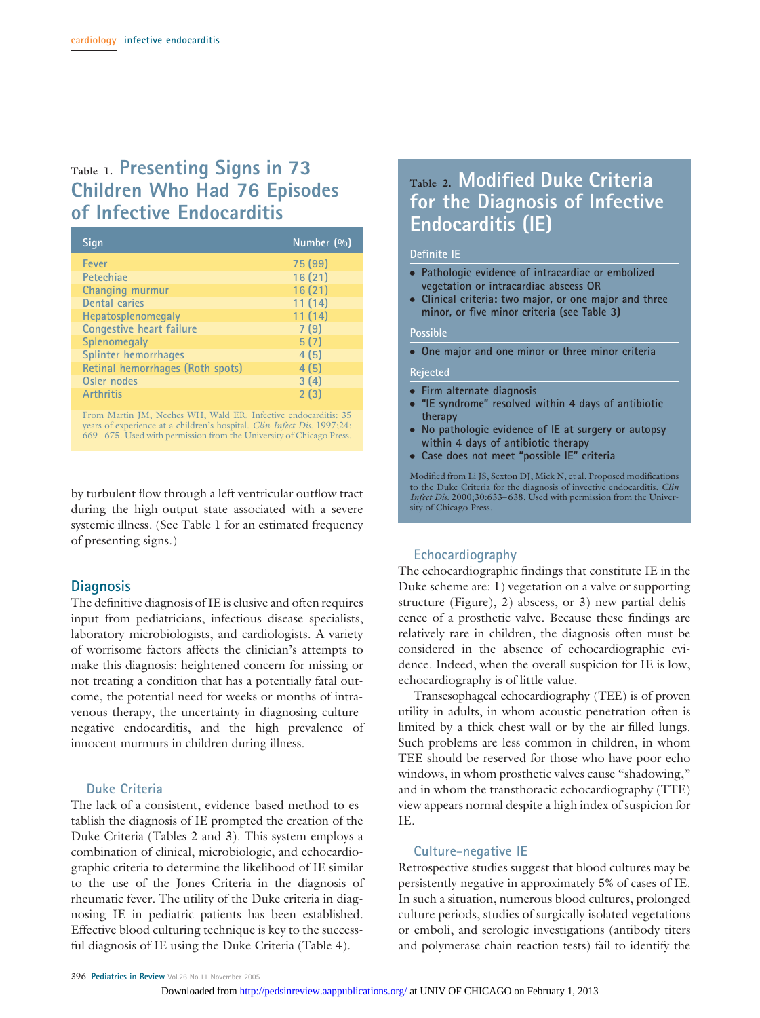# **Table 1. Presenting Signs in 73 Children Who Had 76 Episodes of Infective Endocarditis**

| Sign                             | Number (%) |
|----------------------------------|------------|
| Fever                            | 75 (99)    |
| Petechiae                        | 16(21)     |
| Changing murmur                  | 16(21)     |
| Dental caries                    | 11(14)     |
| Hepatosplenomegaly               | 11(14)     |
| Congestive heart failure         | 7(9)       |
| Splenomegaly                     | 5(7)       |
| Splinter hemorrhages             | 4(5)       |
| Retinal hemorrhages (Roth spots) | 4(5)       |
| Osler nodes                      | 3(4)       |
| <b>Arthritis</b>                 | 2(3)       |

From Martin JM, Neches WH, Wald ER. Infective endocarditis: 35 years of experience at a children's hospital. *Clin Infect Dis.* 1997;24: 669 – 675. Used with permission from the University of Chicago Press.

by turbulent flow through a left ventricular outflow tract during the high-output state associated with a severe systemic illness. (See Table 1 for an estimated frequency of presenting signs.)

#### **Diagnosis**

The definitive diagnosis of IE is elusive and often requires input from pediatricians, infectious disease specialists, laboratory microbiologists, and cardiologists. A variety of worrisome factors affects the clinician's attempts to make this diagnosis: heightened concern for missing or not treating a condition that has a potentially fatal outcome, the potential need for weeks or months of intravenous therapy, the uncertainty in diagnosing culturenegative endocarditis, and the high prevalence of innocent murmurs in children during illness.

#### **Duke Criteria**

The lack of a consistent, evidence-based method to establish the diagnosis of IE prompted the creation of the Duke Criteria (Tables 2 and 3). This system employs a combination of clinical, microbiologic, and echocardiographic criteria to determine the likelihood of IE similar to the use of the Jones Criteria in the diagnosis of rheumatic fever. The utility of the Duke criteria in diagnosing IE in pediatric patients has been established. Effective blood culturing technique is key to the successful diagnosis of IE using the Duke Criteria (Table 4).

# **Table 2. Modified Duke Criteria for the Diagnosis of Infective Endocarditis (IE)**

#### **Definite IE**

- **Pathologic evidence of intracardiac or embolized vegetation or intracardiac abscess OR**
- **Clinical criteria: two major, or one major and three minor, or five minor criteria (see Table 3)**

#### **Possible**

● **One major and one minor or three minor criteria**

#### **Rejected**

- **Firm alternate diagnosis**
- **"IE syndrome" resolved within 4 days of antibiotic therapy**
- **No pathologic evidence of IE at surgery or autopsy within 4 days of antibiotic therapy**
- **Case does not meet "possible IE" criteria**

Modified from Li JS, Sexton DJ, Mick N, et al. Proposed modifications to the Duke Criteria for the diagnosis of invective endocarditis. *Clin Infect Dis.* 2000;30:633– 638. Used with permission from the University of Chicago Press.

#### **Echocardiography**

The echocardiographic findings that constitute IE in the Duke scheme are: 1) vegetation on a valve or supporting structure (Figure), 2) abscess, or 3) new partial dehiscence of a prosthetic valve. Because these findings are relatively rare in children, the diagnosis often must be considered in the absence of echocardiographic evidence. Indeed, when the overall suspicion for IE is low, echocardiography is of little value.

Transesophageal echocardiography (TEE) is of proven utility in adults, in whom acoustic penetration often is limited by a thick chest wall or by the air-filled lungs. Such problems are less common in children, in whom TEE should be reserved for those who have poor echo windows, in whom prosthetic valves cause "shadowing," and in whom the transthoracic echocardiography (TTE) view appears normal despite a high index of suspicion for IE.

#### **Culture-negative IE**

Retrospective studies suggest that blood cultures may be persistently negative in approximately 5% of cases of IE. In such a situation, numerous blood cultures, prolonged culture periods, studies of surgically isolated vegetations or emboli, and serologic investigations (antibody titers and polymerase chain reaction tests) fail to identify the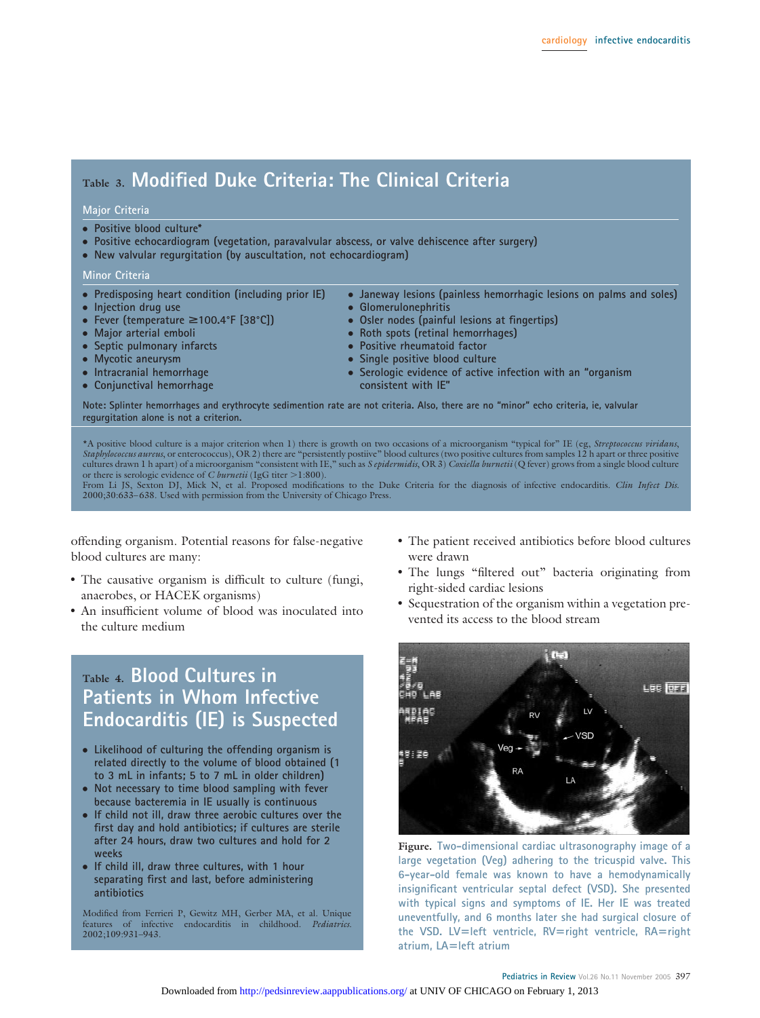# **Table 3. Modified Duke Criteria: The Clinical Criteria**

#### **Major Criteria**

- **Positive blood culture\***
- **Positive echocardiogram (vegetation, paravalvular abscess, or valve dehiscence after surgery)**
- **New valvular regurgitation (by auscultation, not echocardiogram)**

#### **Minor Criteria**

- **Predisposing heart condition (including prior IE)**
- **Injection drug use**
- **Fever (temperature** ≥100.4°F [38°C])
- **Major arterial emboli**
- **Septic pulmonary infarcts**
- **Mycotic aneurysm**
- **Intracranial hemorrhage**
- **Conjunctival hemorrhage**
- **Janeway lesions (painless hemorrhagic lesions on palms and soles)** ● **Glomerulonephritis**
	- **Osler nodes (painful lesions at fingertips)**
- **Roth spots (retinal hemorrhages)**
- **Positive rheumatoid factor**
- **Single positive blood culture**
- **Serologic evidence of active infection with an "organism consistent with IE"**

**Note: Splinter hemorrhages and erythrocyte sedimention rate are not criteria. Also, there are no "minor" echo criteria, ie, valvular regurgitation alone is not a criterion.**

\*A positive blood culture is a major criterion when 1) there is growth on two occasions of a microorganism "typical for" IE (eg, *Streptococcus viridans*, *Staphylococcus aureus*, or enterococcus), OR 2) there are "persistently postiive" blood cultures (two positive cultures from samples 12 h apart or three positive cultures drawn 1 h apart) of a microorganism "consistent with IE," such as *S epidermidis*, OR 3) *Coxiella burnetii* (Q fever) grows from a single blood culture or there is serologic evidence of *C burnetii* (IgG titer >1:800).

From Li JS, Sexton DJ, Mick N, et al. Proposed modifications to the Duke Criteria for the diagnosis of infective endocarditis. *Clin Infect Dis.* 2000;30:633– 638. Used with permission from the University of Chicago Press.

offending organism. Potential reasons for false-negative blood cultures are many:

- The causative organism is difficult to culture (fungi, anaerobes, or HACEK organisms)
- An insufficient volume of blood was inoculated into the culture medium

# **Table 4. Blood Cultures in Patients in Whom Infective Endocarditis (IE) is Suspected**

- **Likelihood of culturing the offending organism is related directly to the volume of blood obtained (1 to 3 mL in infants; 5 to 7 mL in older children)**
- **Not necessary to time blood sampling with fever because bacteremia in IE usually is continuous**
- **If child not ill, draw three aerobic cultures over the first day and hold antibiotics; if cultures are sterile after 24 hours, draw two cultures and hold for 2 weeks**
- **If child ill, draw three cultures, with 1 hour separating first and last, before administering antibiotics**

Modified from Ferrieri P, Gewitz MH, Gerber MA, et al. Unique features of infective endocarditis in childhood. *Pediatrics.* 2002;109:931–943.

- The patient received antibiotics before blood cultures were drawn
- The lungs "filtered out" bacteria originating from right-sided cardiac lesions
- Sequestration of the organism within a vegetation prevented its access to the blood stream



**Figure. Two-dimensional cardiac ultrasonography image of a large vegetation (Veg) adhering to the tricuspid valve. This 6-year-old female was known to have a hemodynamically insignificant ventricular septal defect (VSD). She presented with typical signs and symptoms of IE. Her IE was treated uneventfully, and 6 months later she had surgical closure of the VSD. LVleft ventricle, RVright ventricle, RAright atrium, LAleft atrium**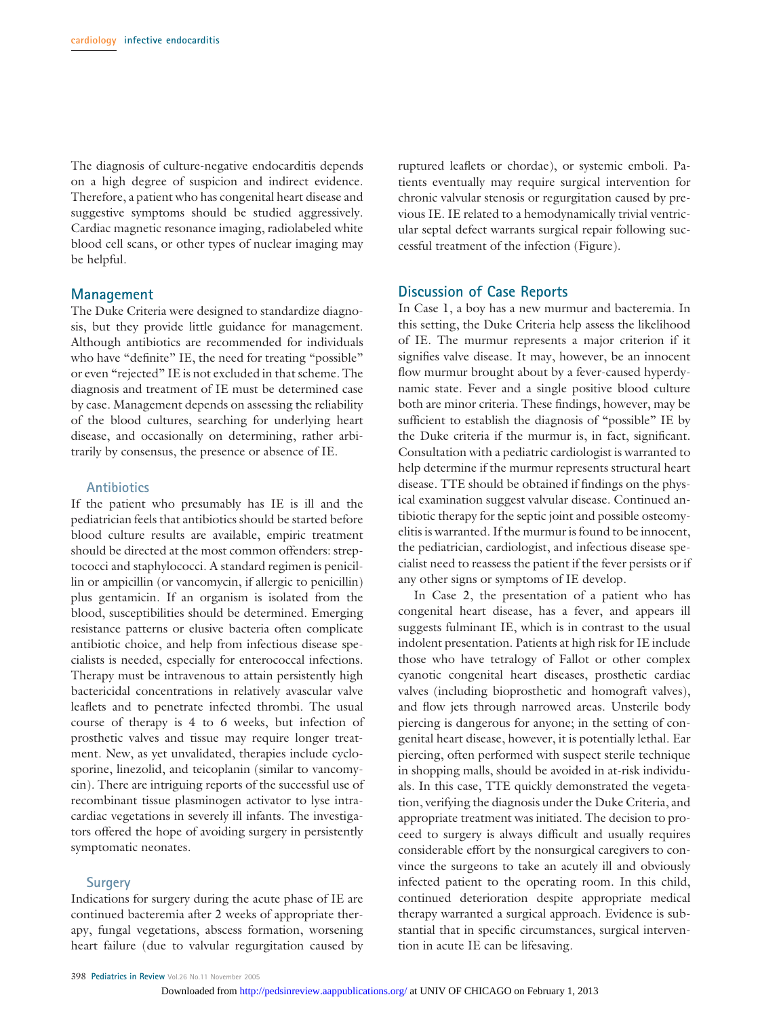The diagnosis of culture-negative endocarditis depends on a high degree of suspicion and indirect evidence. Therefore, a patient who has congenital heart disease and suggestive symptoms should be studied aggressively. Cardiac magnetic resonance imaging, radiolabeled white blood cell scans, or other types of nuclear imaging may be helpful.

#### **Management**

The Duke Criteria were designed to standardize diagnosis, but they provide little guidance for management. Although antibiotics are recommended for individuals who have "definite" IE, the need for treating "possible" or even "rejected" IE is not excluded in that scheme. The diagnosis and treatment of IE must be determined case by case. Management depends on assessing the reliability of the blood cultures, searching for underlying heart disease, and occasionally on determining, rather arbitrarily by consensus, the presence or absence of IE.

#### **Antibiotics**

If the patient who presumably has IE is ill and the pediatrician feels that antibiotics should be started before blood culture results are available, empiric treatment should be directed at the most common offenders: streptococci and staphylococci. A standard regimen is penicillin or ampicillin (or vancomycin, if allergic to penicillin) plus gentamicin. If an organism is isolated from the blood, susceptibilities should be determined. Emerging resistance patterns or elusive bacteria often complicate antibiotic choice, and help from infectious disease specialists is needed, especially for enterococcal infections. Therapy must be intravenous to attain persistently high bactericidal concentrations in relatively avascular valve leaflets and to penetrate infected thrombi. The usual course of therapy is 4 to 6 weeks, but infection of prosthetic valves and tissue may require longer treatment. New, as yet unvalidated, therapies include cyclosporine, linezolid, and teicoplanin (similar to vancomycin). There are intriguing reports of the successful use of recombinant tissue plasminogen activator to lyse intracardiac vegetations in severely ill infants. The investigators offered the hope of avoiding surgery in persistently symptomatic neonates.

#### **Surgery**

Indications for surgery during the acute phase of IE are continued bacteremia after 2 weeks of appropriate therapy, fungal vegetations, abscess formation, worsening heart failure (due to valvular regurgitation caused by ruptured leaflets or chordae), or systemic emboli. Patients eventually may require surgical intervention for chronic valvular stenosis or regurgitation caused by previous IE. IE related to a hemodynamically trivial ventricular septal defect warrants surgical repair following successful treatment of the infection (Figure).

#### **Discussion of Case Reports**

In Case 1, a boy has a new murmur and bacteremia. In this setting, the Duke Criteria help assess the likelihood of IE. The murmur represents a major criterion if it signifies valve disease. It may, however, be an innocent flow murmur brought about by a fever-caused hyperdynamic state. Fever and a single positive blood culture both are minor criteria. These findings, however, may be sufficient to establish the diagnosis of "possible" IE by the Duke criteria if the murmur is, in fact, significant. Consultation with a pediatric cardiologist is warranted to help determine if the murmur represents structural heart disease. TTE should be obtained if findings on the physical examination suggest valvular disease. Continued antibiotic therapy for the septic joint and possible osteomyelitis is warranted. If the murmur is found to be innocent, the pediatrician, cardiologist, and infectious disease specialist need to reassess the patient if the fever persists or if any other signs or symptoms of IE develop.

In Case 2, the presentation of a patient who has congenital heart disease, has a fever, and appears ill suggests fulminant IE, which is in contrast to the usual indolent presentation. Patients at high risk for IE include those who have tetralogy of Fallot or other complex cyanotic congenital heart diseases, prosthetic cardiac valves (including bioprosthetic and homograft valves), and flow jets through narrowed areas. Unsterile body piercing is dangerous for anyone; in the setting of congenital heart disease, however, it is potentially lethal. Ear piercing, often performed with suspect sterile technique in shopping malls, should be avoided in at-risk individuals. In this case, TTE quickly demonstrated the vegetation, verifying the diagnosis under the Duke Criteria, and appropriate treatment was initiated. The decision to proceed to surgery is always difficult and usually requires considerable effort by the nonsurgical caregivers to convince the surgeons to take an acutely ill and obviously infected patient to the operating room. In this child, continued deterioration despite appropriate medical therapy warranted a surgical approach. Evidence is substantial that in specific circumstances, surgical intervention in acute IE can be lifesaving.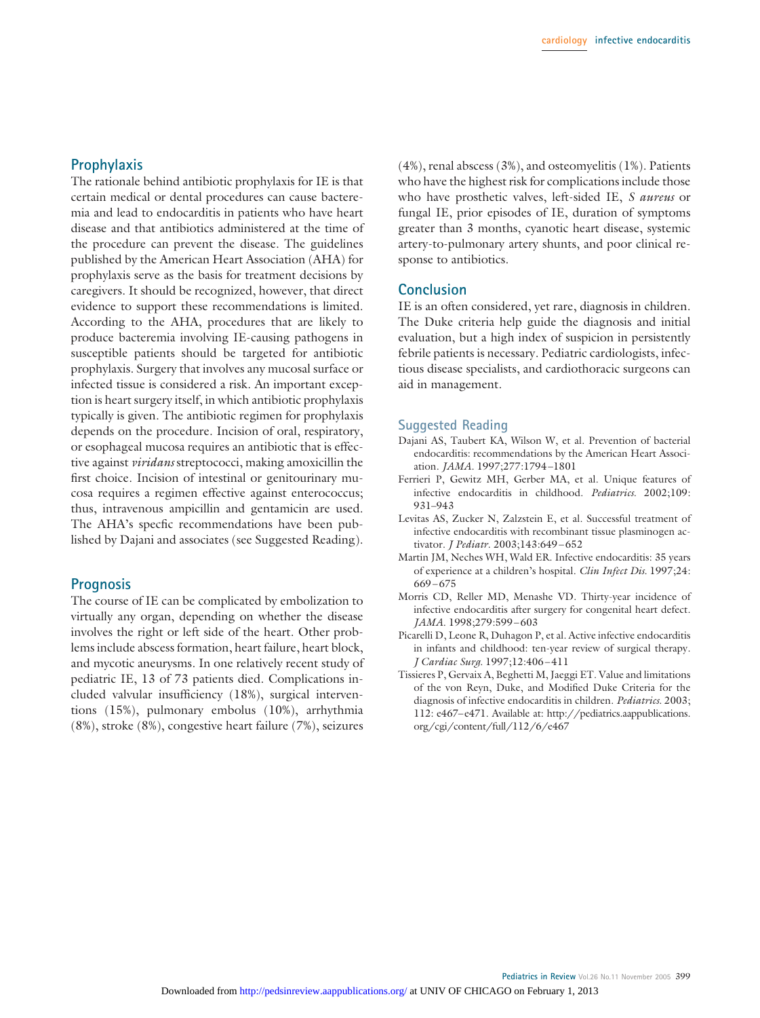#### **Prophylaxis**

The rationale behind antibiotic prophylaxis for IE is that certain medical or dental procedures can cause bacteremia and lead to endocarditis in patients who have heart disease and that antibiotics administered at the time of the procedure can prevent the disease. The guidelines published by the American Heart Association (AHA) for prophylaxis serve as the basis for treatment decisions by caregivers. It should be recognized, however, that direct evidence to support these recommendations is limited. According to the AHA, procedures that are likely to produce bacteremia involving IE-causing pathogens in susceptible patients should be targeted for antibiotic prophylaxis. Surgery that involves any mucosal surface or infected tissue is considered a risk. An important exception is heart surgery itself, in which antibiotic prophylaxis typically is given. The antibiotic regimen for prophylaxis depends on the procedure. Incision of oral, respiratory, or esophageal mucosa requires an antibiotic that is effective against *viridans* streptococci, making amoxicillin the first choice. Incision of intestinal or genitourinary mucosa requires a regimen effective against enterococcus; thus, intravenous ampicillin and gentamicin are used. The AHA's specfic recommendations have been published by Dajani and associates (see Suggested Reading).

#### **Prognosis**

The course of IE can be complicated by embolization to virtually any organ, depending on whether the disease involves the right or left side of the heart. Other problems include abscess formation, heart failure, heart block, and mycotic aneurysms. In one relatively recent study of pediatric IE, 13 of 73 patients died. Complications included valvular insufficiency (18%), surgical interventions (15%), pulmonary embolus (10%), arrhythmia (8%), stroke (8%), congestive heart failure (7%), seizures (4%), renal abscess (3%), and osteomyelitis (1%). Patients who have the highest risk for complications include those who have prosthetic valves, left-sided IE, *S aureus* or fungal IE, prior episodes of IE, duration of symptoms greater than 3 months, cyanotic heart disease, systemic artery-to-pulmonary artery shunts, and poor clinical response to antibiotics.

#### **Conclusion**

IE is an often considered, yet rare, diagnosis in children. The Duke criteria help guide the diagnosis and initial evaluation, but a high index of suspicion in persistently febrile patients is necessary. Pediatric cardiologists, infectious disease specialists, and cardiothoracic surgeons can aid in management.

#### **Suggested Reading**

- Dajani AS, Taubert KA, Wilson W, et al. Prevention of bacterial endocarditis: recommendations by the American Heart Association. *JAMA.* 1997;277:1794 –1801
- Ferrieri P, Gewitz MH, Gerber MA, et al. Unique features of infective endocarditis in childhood. *Pediatrics.* 2002;109: 931–943
- Levitas AS, Zucker N, Zalzstein E, et al. Successful treatment of infective endocarditis with recombinant tissue plasminogen activator. *J Pediatr*. 2003;143:649 – 652
- Martin JM, Neches WH, Wald ER. Infective endocarditis: 35 years of experience at a children's hospital. *Clin Infect Dis.* 1997;24:  $669 - 675$
- Morris CD, Reller MD, Menashe VD. Thirty-year incidence of infective endocarditis after surgery for congenital heart defect. *JAMA.* 1998;279:599 – 603
- Picarelli D, Leone R, Duhagon P, et al. Active infective endocarditis in infants and childhood: ten-year review of surgical therapy. *J Cardiac Surg.* 1997;12:406 – 411
- Tissieres P, Gervaix A, Beghetti M, Jaeggi ET. Value and limitations of the von Reyn, Duke, and Modified Duke Criteria for the diagnosis of infective endocarditis in children. *Pediatrics.* 2003; 112: e467–e471. Available at: http://pediatrics.aappublications. org/cgi/content/full/112/6/e467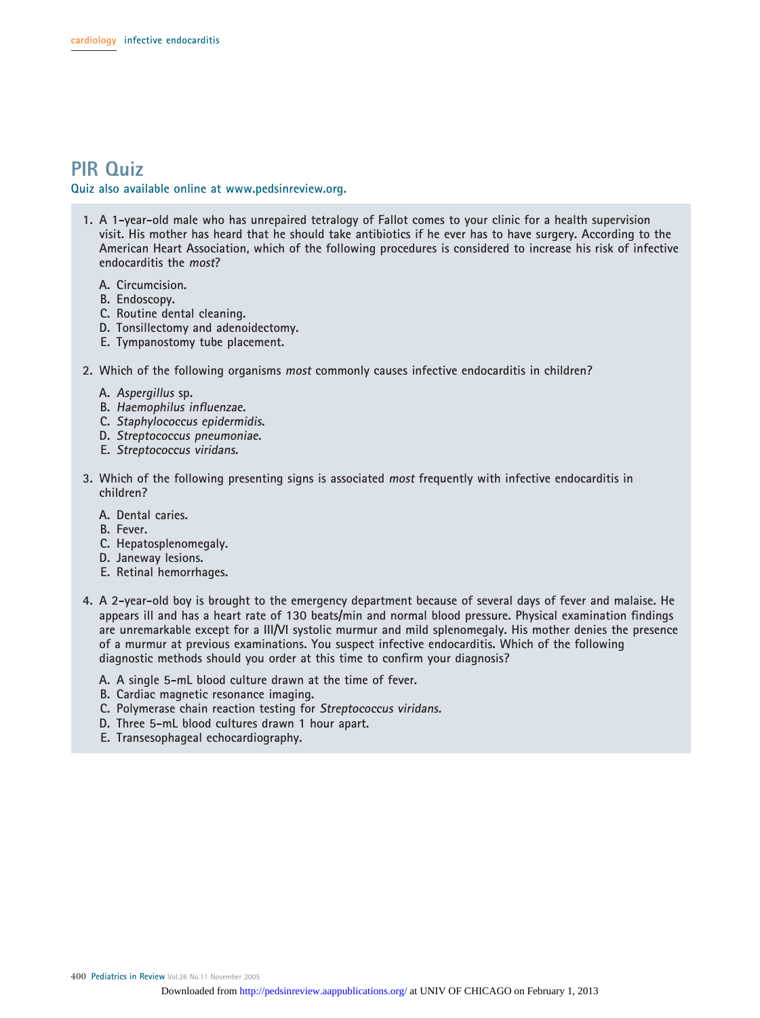# **PIR Quiz**

**Quiz also available online at www.pedsinreview.org.**

- **1. A 1-year-old male who has unrepaired tetralogy of Fallot comes to your clinic for a health supervision visit. His mother has heard that he should take antibiotics if he ever has to have surgery. According to the American Heart Association, which of the following procedures is considered to increase his risk of infective endocarditis the most?**
	- **A. Circumcision.**
	- **B. Endoscopy.**
	- **C. Routine dental cleaning.**
	- **D. Tonsillectomy and adenoidectomy.**
	- **E. Tympanostomy tube placement.**
- **2. Which of the following organisms most commonly causes infective endocarditis in children?**
	- **A. Aspergillus sp.**
	- **B. Haemophilus influenzae.**
	- **C. Staphylococcus epidermidis.**
	- **D. Streptococcus pneumoniae.**
	- **E. Streptococcus viridans.**
- **3. Which of the following presenting signs is associated most frequently with infective endocarditis in children?**
	- **A. Dental caries.**
	- **B. Fever.**
	- **C. Hepatosplenomegaly.**
	- **D. Janeway lesions.**
	- **E. Retinal hemorrhages.**
- **4. A 2-year-old boy is brought to the emergency department because of several days of fever and malaise. He appears ill and has a heart rate of 130 beats/min and normal blood pressure. Physical examination findings are unremarkable except for a III/VI systolic murmur and mild splenomegaly. His mother denies the presence of a murmur at previous examinations. You suspect infective endocarditis. Which of the following diagnostic methods should you order at this time to confirm your diagnosis?**
	- **A. A single 5-mL blood culture drawn at the time of fever.**
	- **B. Cardiac magnetic resonance imaging.**
	- **C. Polymerase chain reaction testing for Streptococcus viridans.**
	- **D. Three 5-mL blood cultures drawn 1 hour apart.**
	- **E. Transesophageal echocardiography.**